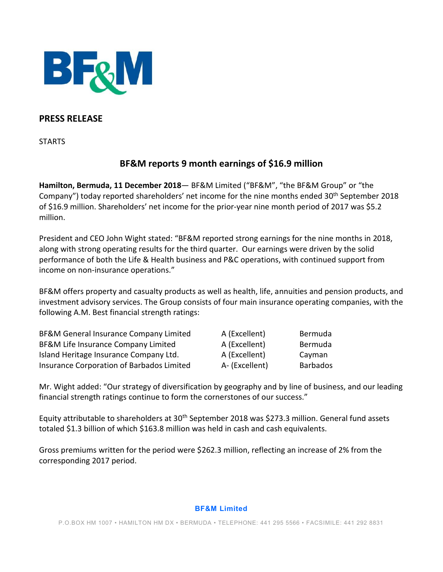

## **PRESS RELEASE**

**STARTS** 

# **BF&M reports 9 month earnings of \$16.9 million**

**Hamilton, Bermuda, 11 December 2018**— BF&M Limited ("BF&M", "the BF&M Group" or "the Company") today reported shareholders' net income for the nine months ended 30<sup>th</sup> September 2018 of \$16.9 million. Shareholders' net income for the prior-year nine month period of 2017 was \$5.2 million.

President and CEO John Wight stated: "BF&M reported strong earnings for the nine months in 2018, along with strong operating results for the third quarter. Our earnings were driven by the solid performance of both the Life & Health business and P&C operations, with continued support from income on non-insurance operations."

BF&M offers property and casualty products as well as health, life, annuities and pension products, and investment advisory services. The Group consists of four main insurance operating companies, with the following A.M. Best financial strength ratings:

| BF&M General Insurance Company Limited    | A (Excellent)  | Bermuda         |
|-------------------------------------------|----------------|-----------------|
| BF&M Life Insurance Company Limited       | A (Excellent)  | Bermuda         |
| Island Heritage Insurance Company Ltd.    | A (Excellent)  | Cayman          |
| Insurance Corporation of Barbados Limited | A- (Excellent) | <b>Barbados</b> |

Mr. Wight added: "Our strategy of diversification by geography and by line of business, and our leading financial strength ratings continue to form the cornerstones of our success."

Equity attributable to shareholders at 30<sup>th</sup> September 2018 was \$273.3 million. General fund assets totaled \$1.3 billion of which \$163.8 million was held in cash and cash equivalents.

Gross premiums written for the period were \$262.3 million, reflecting an increase of 2% from the corresponding 2017 period.

#### **BF&M Limited**